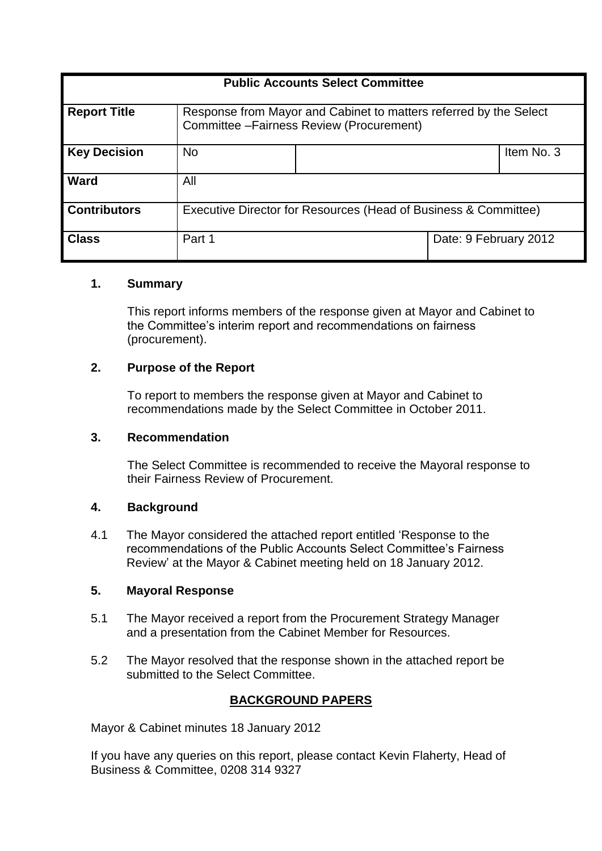| <b>Public Accounts Select Committee</b> |                                                                                                                |  |                       |            |  |  |
|-----------------------------------------|----------------------------------------------------------------------------------------------------------------|--|-----------------------|------------|--|--|
| <b>Report Title</b>                     | Response from Mayor and Cabinet to matters referred by the Select<br>Committee - Fairness Review (Procurement) |  |                       |            |  |  |
| <b>Key Decision</b>                     | <b>No</b>                                                                                                      |  |                       | Item No. 3 |  |  |
| Ward                                    | All                                                                                                            |  |                       |            |  |  |
| <b>Contributors</b>                     | Executive Director for Resources (Head of Business & Committee)                                                |  |                       |            |  |  |
| <b>Class</b>                            | Part 1                                                                                                         |  | Date: 9 February 2012 |            |  |  |

# **1. Summary**

This report informs members of the response given at Mayor and Cabinet to the Committee's interim report and recommendations on fairness (procurement).

# **2. Purpose of the Report**

To report to members the response given at Mayor and Cabinet to recommendations made by the Select Committee in October 2011.

# **3. Recommendation**

The Select Committee is recommended to receive the Mayoral response to their Fairness Review of Procurement.

# **4. Background**

4.1 The Mayor considered the attached report entitled 'Response to the recommendations of the Public Accounts Select Committee's Fairness Review' at the Mayor & Cabinet meeting held on 18 January 2012.

# **5. Mayoral Response**

- 5.1 The Mayor received a report from the Procurement Strategy Manager and a presentation from the Cabinet Member for Resources.
- 5.2 The Mayor resolved that the response shown in the attached report be submitted to the Select Committee.

# **BACKGROUND PAPERS**

Mayor & Cabinet minutes 18 January 2012

If you have any queries on this report, please contact Kevin Flaherty, Head of Business & Committee, 0208 314 9327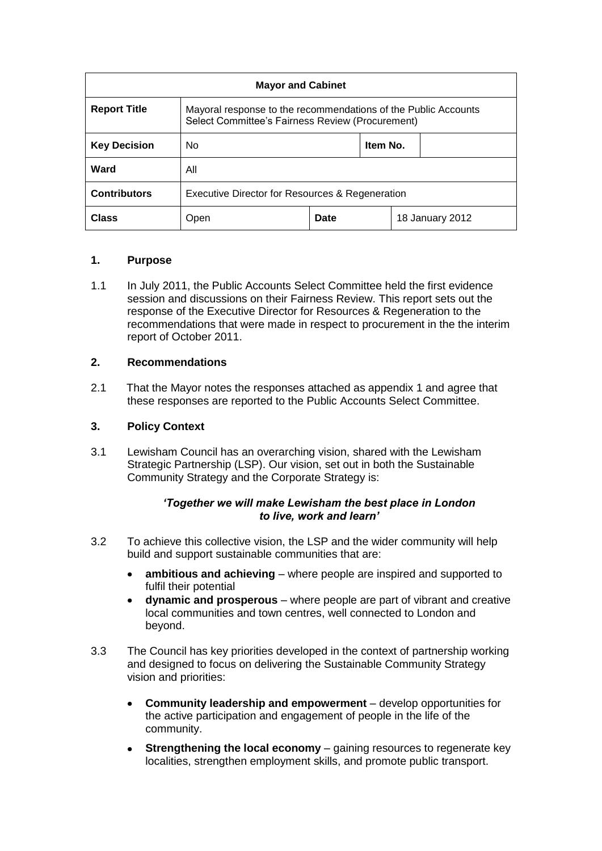| <b>Mayor and Cabinet</b> |                                                                                                                    |      |          |                 |  |  |
|--------------------------|--------------------------------------------------------------------------------------------------------------------|------|----------|-----------------|--|--|
| <b>Report Title</b>      | Mayoral response to the recommendations of the Public Accounts<br>Select Committee's Fairness Review (Procurement) |      |          |                 |  |  |
| <b>Key Decision</b>      | N <sub>0</sub>                                                                                                     |      | Item No. |                 |  |  |
| Ward                     | All                                                                                                                |      |          |                 |  |  |
| <b>Contributors</b>      | Executive Director for Resources & Regeneration                                                                    |      |          |                 |  |  |
| Class                    | Open                                                                                                               | Date |          | 18 January 2012 |  |  |

### **1. Purpose**

1.1 In July 2011, the Public Accounts Select Committee held the first evidence session and discussions on their Fairness Review. This report sets out the response of the Executive Director for Resources & Regeneration to the recommendations that were made in respect to procurement in the the interim report of October 2011.

### **2. Recommendations**

2.1 That the Mayor notes the responses attached as appendix 1 and agree that these responses are reported to the Public Accounts Select Committee.

### **3. Policy Context**

3.1 Lewisham Council has an overarching vision, shared with the Lewisham Strategic Partnership (LSP). Our vision, set out in both the Sustainable Community Strategy and the Corporate Strategy is:

### *'Together we will make Lewisham the best place in London to live, work and learn'*

- 3.2 To achieve this collective vision, the LSP and the wider community will help build and support sustainable communities that are:
	- **ambitious and achieving** where people are inspired and supported to  $\bullet$ fulfil their potential
	- **dynamic and prosperous** where people are part of vibrant and creative local communities and town centres, well connected to London and beyond.
- 3.3 The Council has key priorities developed in the context of partnership working and designed to focus on delivering the Sustainable Community Strategy vision and priorities:
	- **Community leadership and empowerment** develop opportunities for the active participation and engagement of people in the life of the community.
	- **Strengthening the local economy** gaining resources to regenerate key localities, strengthen employment skills, and promote public transport.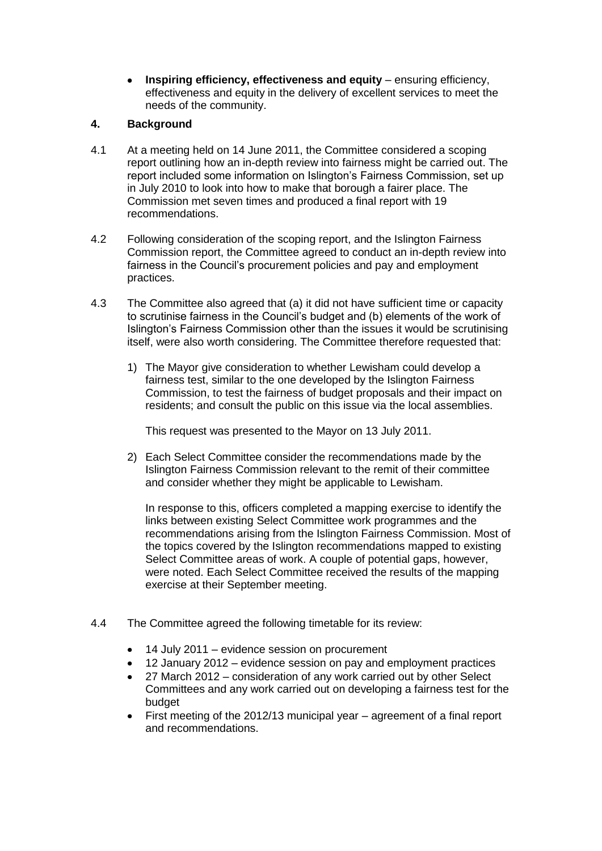**Inspiring efficiency, effectiveness and equity** – ensuring efficiency, effectiveness and equity in the delivery of excellent services to meet the needs of the community.

# **4. Background**

- 4.1 At a meeting held on 14 June 2011, the Committee considered a scoping report outlining how an in-depth review into fairness might be carried out. The report included some information on Islington's Fairness Commission, set up in July 2010 to look into how to make that borough a fairer place. The Commission met seven times and produced a final report with 19 recommendations.
- 4.2 Following consideration of the scoping report, and the Islington Fairness Commission report, the Committee agreed to conduct an in-depth review into fairness in the Council's procurement policies and pay and employment practices.
- 4.3 The Committee also agreed that (a) it did not have sufficient time or capacity to scrutinise fairness in the Council's budget and (b) elements of the work of Islington's Fairness Commission other than the issues it would be scrutinising itself, were also worth considering. The Committee therefore requested that:
	- 1) The Mayor give consideration to whether Lewisham could develop a fairness test, similar to the one developed by the Islington Fairness Commission, to test the fairness of budget proposals and their impact on residents; and consult the public on this issue via the local assemblies.

This request was presented to the Mayor on 13 July 2011.

2) Each Select Committee consider the recommendations made by the Islington Fairness Commission relevant to the remit of their committee and consider whether they might be applicable to Lewisham.

In response to this, officers completed a mapping exercise to identify the links between existing Select Committee work programmes and the recommendations arising from the Islington Fairness Commission. Most of the topics covered by the Islington recommendations mapped to existing Select Committee areas of work. A couple of potential gaps, however, were noted. Each Select Committee received the results of the mapping exercise at their September meeting.

- 4.4 The Committee agreed the following timetable for its review:
	- 14 July 2011 evidence session on procurement
	- 12 January 2012 evidence session on pay and employment practices
	- 27 March 2012 consideration of any work carried out by other Select Committees and any work carried out on developing a fairness test for the budget
	- First meeting of the 2012/13 municipal year agreement of a final report and recommendations.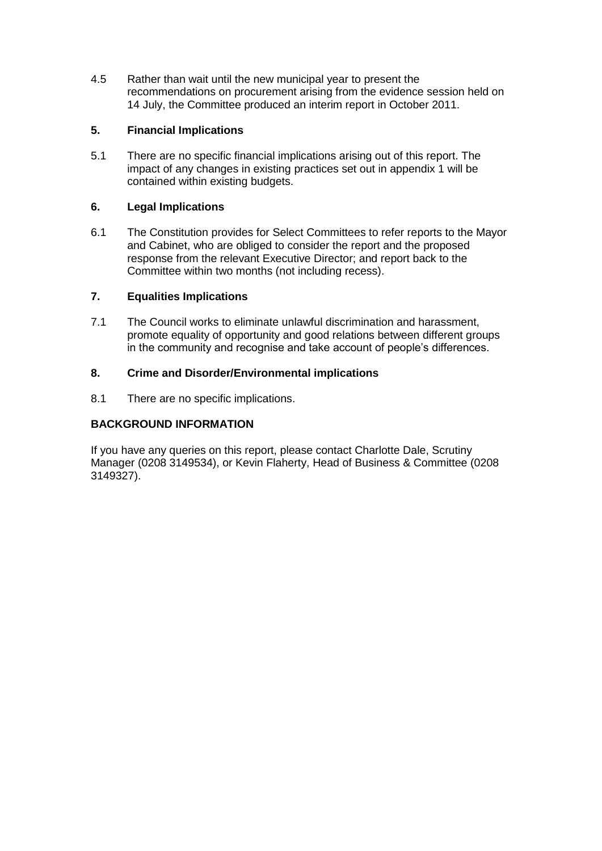4.5 Rather than wait until the new municipal year to present the recommendations on procurement arising from the evidence session held on 14 July, the Committee produced an interim report in October 2011.

## **5. Financial Implications**

5.1 There are no specific financial implications arising out of this report. The impact of any changes in existing practices set out in appendix 1 will be contained within existing budgets.

## **6. Legal Implications**

6.1 The Constitution provides for Select Committees to refer reports to the Mayor and Cabinet, who are obliged to consider the report and the proposed response from the relevant Executive Director; and report back to the Committee within two months (not including recess).

## **7. Equalities Implications**

7.1 The Council works to eliminate unlawful discrimination and harassment, promote equality of opportunity and good relations between different groups in the community and recognise and take account of people's differences.

## **8. Crime and Disorder/Environmental implications**

8.1 There are no specific implications.

## **BACKGROUND INFORMATION**

If you have any queries on this report, please contact Charlotte Dale, Scrutiny Manager (0208 3149534), or Kevin Flaherty, Head of Business & Committee (0208 3149327).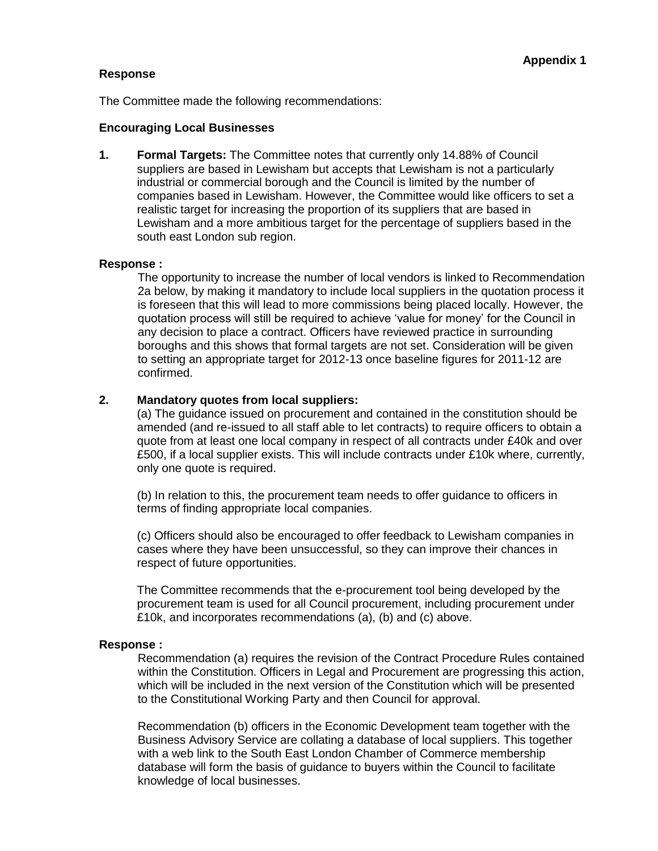#### **Response**

The Committee made the following recommendations:

#### **Encouraging Local Businesses**

**1. Formal Targets:** The Committee notes that currently only 14.88% of Council suppliers are based in Lewisham but accepts that Lewisham is not a particularly industrial or commercial borough and the Council is limited by the number of companies based in Lewisham. However, the Committee would like officers to set a realistic target for increasing the proportion of its suppliers that are based in Lewisham and a more ambitious target for the percentage of suppliers based in the south east London sub region.

#### **Response :**

The opportunity to increase the number of local vendors is linked to Recommendation 2a below, by making it mandatory to include local suppliers in the quotation process it is foreseen that this will lead to more commissions being placed locally. However, the quotation process will still be required to achieve 'value for money' for the Council in any decision to place a contract. Officers have reviewed practice in surrounding boroughs and this shows that formal targets are not set. Consideration will be given to setting an appropriate target for 2012-13 once baseline figures for 2011-12 are confirmed.

### **2. Mandatory quotes from local suppliers:**

(a) The guidance issued on procurement and contained in the constitution should be amended (and re-issued to all staff able to let contracts) to require officers to obtain a quote from at least one local company in respect of all contracts under £40k and over £500, if a local supplier exists. This will include contracts under £10k where, currently, only one quote is required.

(b) In relation to this, the procurement team needs to offer guidance to officers in terms of finding appropriate local companies.

(c) Officers should also be encouraged to offer feedback to Lewisham companies in cases where they have been unsuccessful, so they can improve their chances in respect of future opportunities.

The Committee recommends that the e-procurement tool being developed by the procurement team is used for all Council procurement, including procurement under £10k, and incorporates recommendations (a), (b) and (c) above.

#### **Response :**

Recommendation (a) requires the revision of the Contract Procedure Rules contained within the Constitution. Officers in Legal and Procurement are progressing this action, which will be included in the next version of the Constitution which will be presented to the Constitutional Working Party and then Council for approval.

Recommendation (b) officers in the Economic Development team together with the Business Advisory Service are collating a database of local suppliers. This together with a web link to the South East London Chamber of Commerce membership database will form the basis of guidance to buyers within the Council to facilitate knowledge of local businesses.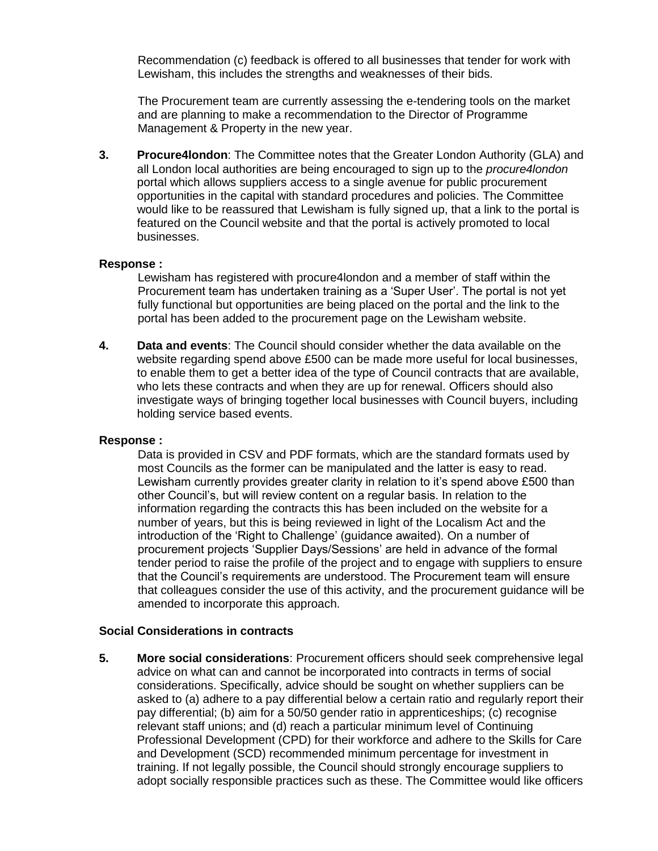Recommendation (c) feedback is offered to all businesses that tender for work with Lewisham, this includes the strengths and weaknesses of their bids.

The Procurement team are currently assessing the e-tendering tools on the market and are planning to make a recommendation to the Director of Programme Management & Property in the new year.

**3. Procure4london**: The Committee notes that the Greater London Authority (GLA) and all London local authorities are being encouraged to sign up to the *procure4london* portal which allows suppliers access to a single avenue for public procurement opportunities in the capital with standard procedures and policies. The Committee would like to be reassured that Lewisham is fully signed up, that a link to the portal is featured on the Council website and that the portal is actively promoted to local businesses.

#### **Response :**

Lewisham has registered with procure4london and a member of staff within the Procurement team has undertaken training as a 'Super User'. The portal is not yet fully functional but opportunities are being placed on the portal and the link to the portal has been added to the procurement page on the Lewisham website.

**4. Data and events**: The Council should consider whether the data available on the website regarding spend above £500 can be made more useful for local businesses, to enable them to get a better idea of the type of Council contracts that are available, who lets these contracts and when they are up for renewal. Officers should also investigate ways of bringing together local businesses with Council buyers, including holding service based events.

#### **Response :**

Data is provided in CSV and PDF formats, which are the standard formats used by most Councils as the former can be manipulated and the latter is easy to read. Lewisham currently provides greater clarity in relation to it's spend above £500 than other Council's, but will review content on a regular basis. In relation to the information regarding the contracts this has been included on the website for a number of years, but this is being reviewed in light of the Localism Act and the introduction of the 'Right to Challenge' (guidance awaited). On a number of procurement projects 'Supplier Days/Sessions' are held in advance of the formal tender period to raise the profile of the project and to engage with suppliers to ensure that the Council's requirements are understood. The Procurement team will ensure that colleagues consider the use of this activity, and the procurement guidance will be amended to incorporate this approach.

#### **Social Considerations in contracts**

**5. More social considerations**: Procurement officers should seek comprehensive legal advice on what can and cannot be incorporated into contracts in terms of social considerations. Specifically, advice should be sought on whether suppliers can be asked to (a) adhere to a pay differential below a certain ratio and regularly report their pay differential; (b) aim for a 50/50 gender ratio in apprenticeships; (c) recognise relevant staff unions; and (d) reach a particular minimum level of Continuing Professional Development (CPD) for their workforce and adhere to the Skills for Care and Development (SCD) recommended minimum percentage for investment in training. If not legally possible, the Council should strongly encourage suppliers to adopt socially responsible practices such as these. The Committee would like officers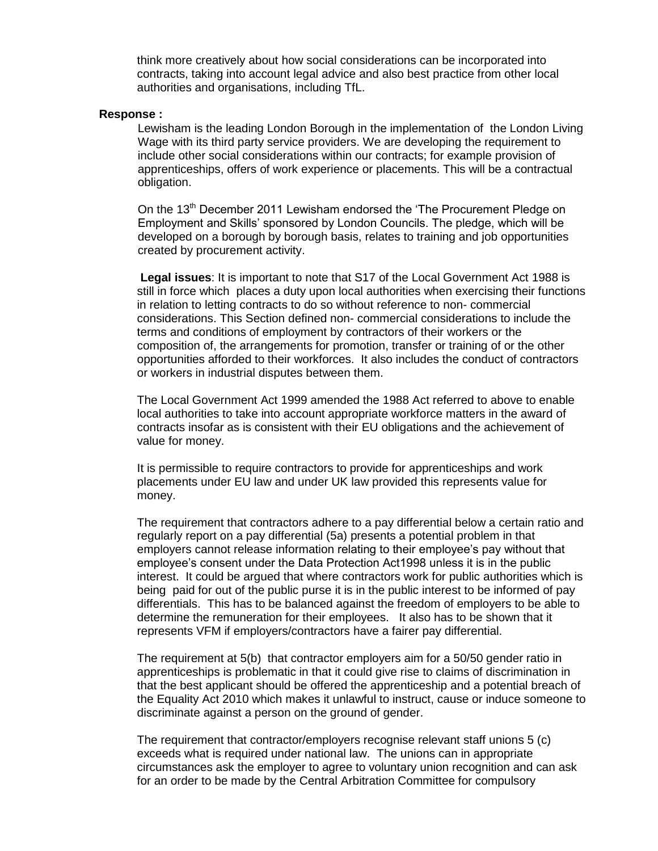think more creatively about how social considerations can be incorporated into contracts, taking into account legal advice and also best practice from other local authorities and organisations, including TfL.

#### **Response :**

Lewisham is the leading London Borough in the implementation of the London Living Wage with its third party service providers. We are developing the requirement to include other social considerations within our contracts; for example provision of apprenticeships, offers of work experience or placements. This will be a contractual obligation.

On the 13<sup>th</sup> December 2011 Lewisham endorsed the 'The Procurement Pledge on Employment and Skills' sponsored by London Councils. The pledge, which will be developed on a borough by borough basis, relates to training and job opportunities created by procurement activity.

**Legal issues**: It is important to note that S17 of the Local Government Act 1988 is still in force which places a duty upon local authorities when exercising their functions in relation to letting contracts to do so without reference to non- commercial considerations. This Section defined non- commercial considerations to include the terms and conditions of employment by contractors of their workers or the composition of, the arrangements for promotion, transfer or training of or the other opportunities afforded to their workforces. It also includes the conduct of contractors or workers in industrial disputes between them.

The Local Government Act 1999 amended the 1988 Act referred to above to enable local authorities to take into account appropriate workforce matters in the award of contracts insofar as is consistent with their EU obligations and the achievement of value for money.

It is permissible to require contractors to provide for apprenticeships and work placements under EU law and under UK law provided this represents value for money.

The requirement that contractors adhere to a pay differential below a certain ratio and regularly report on a pay differential (5a) presents a potential problem in that employers cannot release information relating to their employee's pay without that employee's consent under the Data Protection Act1998 unless it is in the public interest. It could be argued that where contractors work for public authorities which is being paid for out of the public purse it is in the public interest to be informed of pay differentials. This has to be balanced against the freedom of employers to be able to determine the remuneration for their employees. It also has to be shown that it represents VFM if employers/contractors have a fairer pay differential.

The requirement at 5(b) that contractor employers aim for a 50/50 gender ratio in apprenticeships is problematic in that it could give rise to claims of discrimination in that the best applicant should be offered the apprenticeship and a potential breach of the Equality Act 2010 which makes it unlawful to instruct, cause or induce someone to discriminate against a person on the ground of gender.

The requirement that contractor/employers recognise relevant staff unions 5 (c) exceeds what is required under national law. The unions can in appropriate circumstances ask the employer to agree to voluntary union recognition and can ask for an order to be made by the Central Arbitration Committee for compulsory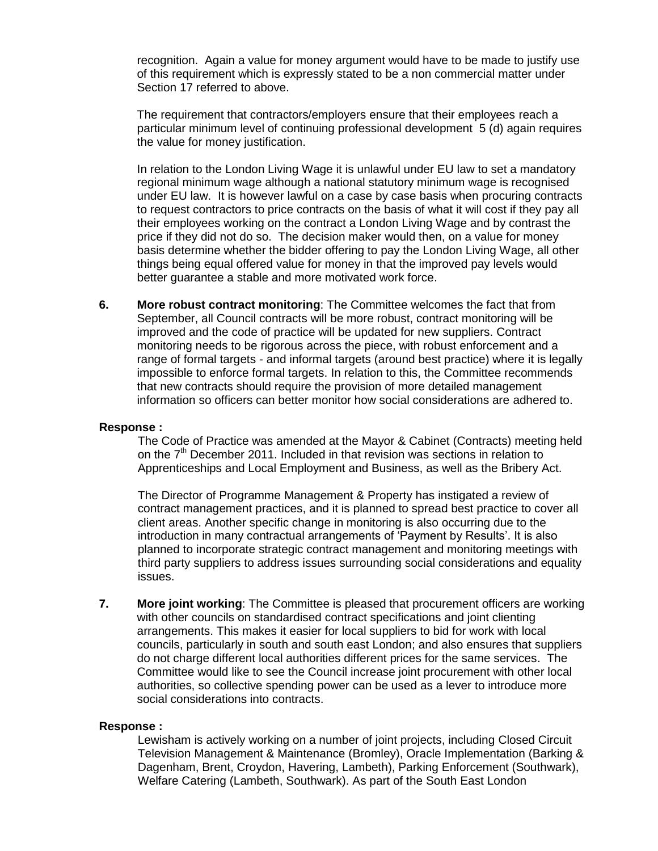recognition. Again a value for money argument would have to be made to justify use of this requirement which is expressly stated to be a non commercial matter under Section 17 referred to above.

The requirement that contractors/employers ensure that their employees reach a particular minimum level of continuing professional development 5 (d) again requires the value for money justification.

In relation to the London Living Wage it is unlawful under EU law to set a mandatory regional minimum wage although a national statutory minimum wage is recognised under EU law. It is however lawful on a case by case basis when procuring contracts to request contractors to price contracts on the basis of what it will cost if they pay all their employees working on the contract a London Living Wage and by contrast the price if they did not do so. The decision maker would then, on a value for money basis determine whether the bidder offering to pay the London Living Wage, all other things being equal offered value for money in that the improved pay levels would better guarantee a stable and more motivated work force.

**6. More robust contract monitoring**: The Committee welcomes the fact that from September, all Council contracts will be more robust, contract monitoring will be improved and the code of practice will be updated for new suppliers. Contract monitoring needs to be rigorous across the piece, with robust enforcement and a range of formal targets - and informal targets (around best practice) where it is legally impossible to enforce formal targets. In relation to this, the Committee recommends that new contracts should require the provision of more detailed management information so officers can better monitor how social considerations are adhered to.

#### **Response :**

The Code of Practice was amended at the Mayor & Cabinet (Contracts) meeting held on the  $7<sup>th</sup>$  December 2011. Included in that revision was sections in relation to Apprenticeships and Local Employment and Business, as well as the Bribery Act.

The Director of Programme Management & Property has instigated a review of contract management practices, and it is planned to spread best practice to cover all client areas. Another specific change in monitoring is also occurring due to the introduction in many contractual arrangements of 'Payment by Results'. It is also planned to incorporate strategic contract management and monitoring meetings with third party suppliers to address issues surrounding social considerations and equality issues.

**7. More joint working**: The Committee is pleased that procurement officers are working with other councils on standardised contract specifications and joint clienting arrangements. This makes it easier for local suppliers to bid for work with local councils, particularly in south and south east London; and also ensures that suppliers do not charge different local authorities different prices for the same services. The Committee would like to see the Council increase joint procurement with other local authorities, so collective spending power can be used as a lever to introduce more social considerations into contracts.

#### **Response :**

Lewisham is actively working on a number of joint projects, including Closed Circuit Television Management & Maintenance (Bromley), Oracle Implementation (Barking & Dagenham, Brent, Croydon, Havering, Lambeth), Parking Enforcement (Southwark), Welfare Catering (Lambeth, Southwark). As part of the South East London